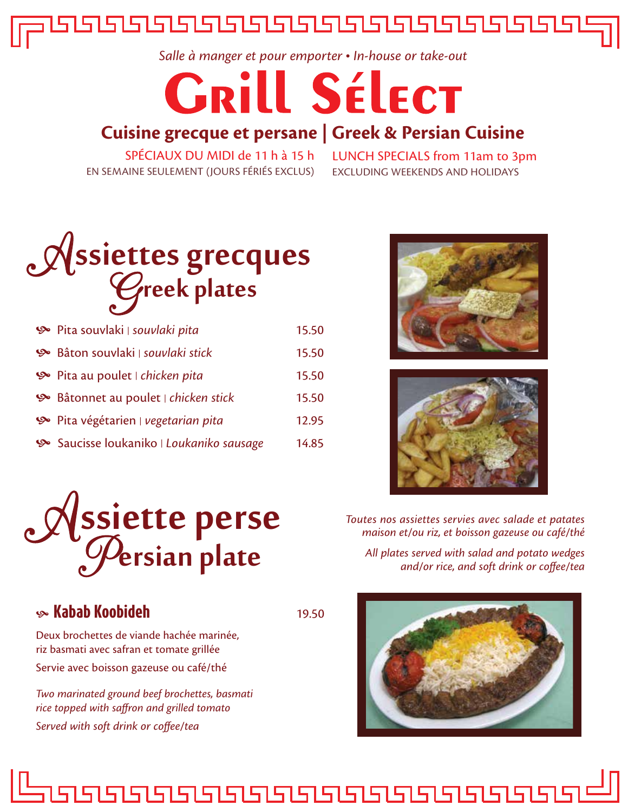

*Salle à manger et pour emporter In-house or take-out*

# **GRILL SÉLECT**

### **Cuisine grecque et persane | Greek & Persian Cuisine**

SPÉCIAUX DU MIDI de 11 h à 15 h EN SEMAINE SEULEMENT (JOURS FÉRIÉS EXCLUS)

LUNCH SPECIALS from 11am to 3pm EXCLUDING WEEKENDS AND HOLIDAYS



| Pita souvlaki   souvlaki pita          | 15.50 |
|----------------------------------------|-------|
| <br>Bâton souvlaki   souvlaki stick    | 15.50 |
| < Pita au poulet   chicken pita        | 15.50 |
| < Bâtonnet au poulet   chicken stick   | 15.50 |
| < Pita végétarien   vegetarian pita    | 12.95 |
| Saucisse loukaniko   Loukaniko sausage | 14.85 |







*All plates served with salad and potato wedges and/or rice, and soft drink or coffee/tea*



## Assiette pers ssiette perse

#### **Kabab Koobideh** 19.50

Deux brochettes de viande hachée marinée, riz basmati avec safran et tomate grillée Servie avec boisson gazeuse ou café/thé

*Two marinated ground beef brochettes, basmati rice topped with saffron and grilled tomato Served with soft drink or coffee/tea*

<u>isisisisisisisisisisisisisisisisi</u>